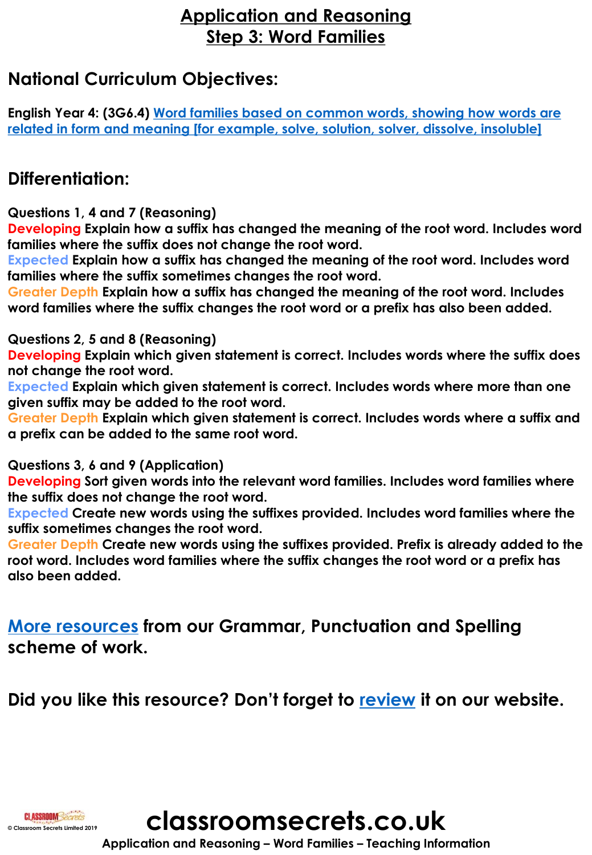## **Application and Reasoning Step 3: Word Families**

## **National Curriculum Objectives:**

**English Year 4: (3G6.4) Word families based on common words, showing how words are [related in form and meaning \[for example, solve, solution, solver, dissolve, insoluble\]](https://classroomsecrets.co.uk/content-domain-filter/?fwp_contentdomain=3g6.4)**

## **Differentiation:**

**Questions 1, 4 and 7 (Reasoning)**

**Developing Explain how a suffix has changed the meaning of the root word. Includes word families where the suffix does not change the root word.** 

**Expected Explain how a suffix has changed the meaning of the root word. Includes word families where the suffix sometimes changes the root word.** 

**Greater Depth Explain how a suffix has changed the meaning of the root word. Includes word families where the suffix changes the root word or a prefix has also been added.** 

**Questions 2, 5 and 8 (Reasoning)**

**Developing Explain which given statement is correct. Includes words where the suffix does not change the root word.** 

**Expected Explain which given statement is correct. Includes words where more than one given suffix may be added to the root word.** 

**Greater Depth Explain which given statement is correct. Includes words where a suffix and a prefix can be added to the same root word.**

**Questions 3, 6 and 9 (Application)**

**Developing Sort given words into the relevant word families. Includes word families where the suffix does not change the root word.** 

**Expected Create new words using the suffixes provided. Includes word families where the suffix sometimes changes the root word.** 

**Greater Depth Create new words using the suffixes provided. Prefix is already added to the root word. Includes word families where the suffix changes the root word or a prefix has also been added.** 

**[More resources](https://classroomsecrets.co.uk/search/?fwp_topic=gps-scheme-of-work) from our Grammar, Punctuation and Spelling scheme of work.**

**Did you like this resource? Don't forget to [review](https://classroomsecrets.co.uk/word-families-year-4-suffixes-free-resource-pack) it on our website.**

**Classing Class Commercial Screets Limited 2019 c classroom Secrets.co.uk** 

**Application and Reasoning – Word Families – Teaching Information**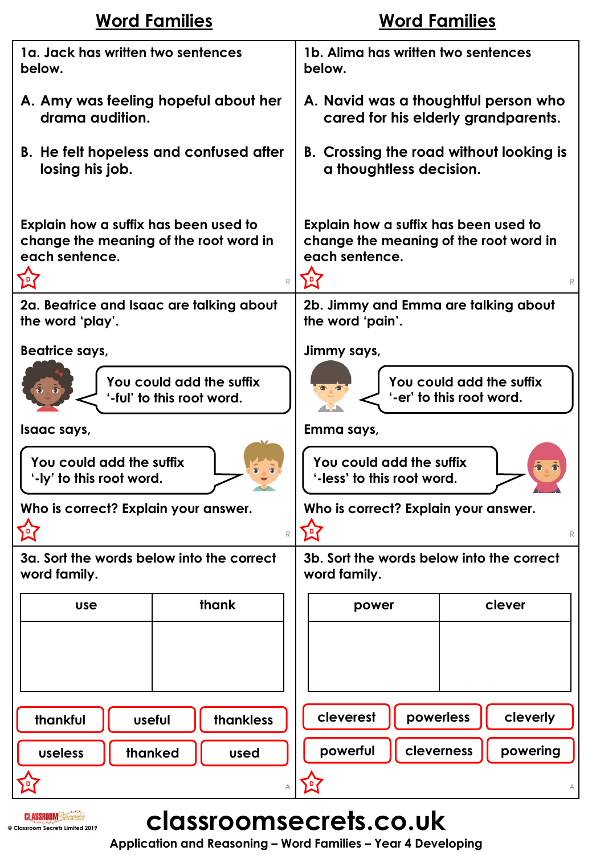| <b>Word Families</b>                                                                                                  | <b>Word Families</b>                                                                                             |
|-----------------------------------------------------------------------------------------------------------------------|------------------------------------------------------------------------------------------------------------------|
| 1a. Jack has written two sentences                                                                                    | 1b. Alima has written two sentences                                                                              |
| below.                                                                                                                | below.                                                                                                           |
| A. Amy was feeling hopeful about her                                                                                  | A. Navid was a thoughtful person who                                                                             |
| drama audition.                                                                                                       | cared for his elderly grandparents.                                                                              |
| <b>B.</b> He felt hopeless and confused after                                                                         | B. Crossing the road without looking is                                                                          |
| losing his job.                                                                                                       | a thoughtless decision.                                                                                          |
| Explain how a suffix has been used to<br>change the meaning of the root word in<br>each sentence.<br>囟<br>$\mathbb R$ | Explain how a suffix has been used to<br>change the meaning of the root word in<br>each sentence.<br>$\mathbb R$ |
| 2a. Beatrice and Isaac are talking about                                                                              | 2b. Jimmy and Emma are talking about                                                                             |
| the word 'play'.                                                                                                      | the word 'pain'.                                                                                                 |
| <b>Beatrice says,</b>                                                                                                 | Jimmy says,                                                                                                      |
| You could add the suffix                                                                                              | You could add the suffix                                                                                         |
| '-ful' to this root word.                                                                                             | '-er' to this root word.                                                                                         |
| Isaac says,                                                                                                           | Emma says,                                                                                                       |
| You could add the suffix                                                                                              | You could add the suffix                                                                                         |
| '-ly' to this root word.                                                                                              | '-less' to this root word.                                                                                       |
| Who is correct? Explain your answer.                                                                                  | Who is correct? Explain your answer.                                                                             |
| 囟                                                                                                                     | <b>P7</b>                                                                                                        |
| $\mathbb R$                                                                                                           | $\mathbb R$                                                                                                      |
| 3a. Sort the words below into the correct                                                                             | 3b. Sort the words below into the correct                                                                        |
| word family.                                                                                                          | word family.                                                                                                     |
| thank                                                                                                                 | clever                                                                                                           |
| <b>use</b>                                                                                                            | power                                                                                                            |
|                                                                                                                       |                                                                                                                  |
| thankful                                                                                                              | cleverest                                                                                                        |
| thankless                                                                                                             | powerless                                                                                                        |
| useful                                                                                                                | cleverly                                                                                                         |
| thanked                                                                                                               | powerful                                                                                                         |
| useless                                                                                                               | cleverness                                                                                                       |
| used                                                                                                                  | powering                                                                                                         |
|                                                                                                                       | $\overline{P}$                                                                                                   |

# **CLASSROOMSECTETS.CO.UK**

**Application and Reasoning – Word Families – Year 4 Developing**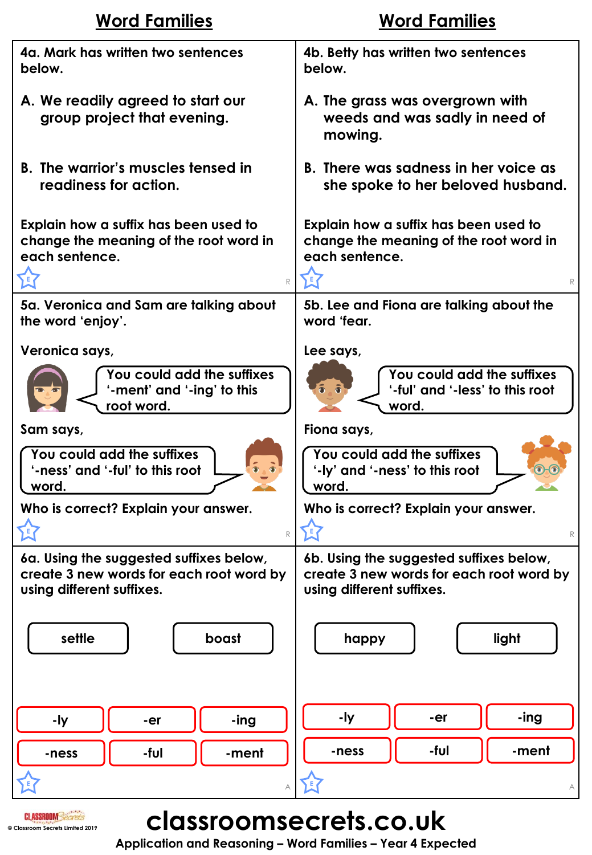| <b>Word Families</b>                                                                                        | <b>Word Families</b>                                                                                             |
|-------------------------------------------------------------------------------------------------------------|------------------------------------------------------------------------------------------------------------------|
| 4a. Mark has written two sentences                                                                          | 4b. Betty has written two sentences                                                                              |
| below.                                                                                                      | below.                                                                                                           |
| A. We readily agreed to start our<br>group project that evening.                                            | A. The grass was overgrown with<br>weeds and was sadly in need of<br>mowing.                                     |
| <b>B.</b> The warrior's muscles tensed in                                                                   | B. There was sadness in her voice as                                                                             |
| readiness for action.                                                                                       | she spoke to her beloved husband.                                                                                |
| Explain how a suffix has been used to<br>change the meaning of the root word in<br>each sentence.<br>E<br>R | Explain how a suffix has been used to<br>change the meaning of the root word in<br>each sentence.<br>$\mathbb R$ |
| 5a. Veronica and Sam are talking about                                                                      | 5b. Lee and Fiona are talking about the                                                                          |
| the word 'enjoy'.                                                                                           | word 'fear.                                                                                                      |
| Veronica says,                                                                                              | Lee says,                                                                                                        |
| You could add the suffixes                                                                                  | You could add the suffixes                                                                                       |
| '-ment' and '-ing' to this                                                                                  | '-ful' and '-less' to this root                                                                                  |
| root word.                                                                                                  | word.                                                                                                            |
| Sam says,                                                                                                   | Fiona says,                                                                                                      |
| You could add the suffixes                                                                                  | You could add the suffixes                                                                                       |
| '-ness' and '-ful' to this root                                                                             | '-ly' and '-ness' to this root                                                                                   |
| word.                                                                                                       | word.                                                                                                            |
| Who is correct? Explain your answer.                                                                        | Who is correct? Explain your answer.                                                                             |
| $\mathbb R$                                                                                                 | $\mathbb R$                                                                                                      |
| 6a. Using the suggested suffixes below,                                                                     | 6b. Using the suggested suffixes below,                                                                          |
| create 3 new words for each root word by                                                                    | create 3 new words for each root word by                                                                         |
| using different suffixes.                                                                                   | using different suffixes.                                                                                        |
| settle                                                                                                      | light                                                                                                            |
| boast                                                                                                       | happy                                                                                                            |
| -ly                                                                                                         | -ly                                                                                                              |
| -ing                                                                                                        | -ing                                                                                                             |
| -er                                                                                                         | -er                                                                                                              |
| -ful                                                                                                        | -ful                                                                                                             |
| -ment                                                                                                       | -ment                                                                                                            |
| -ness                                                                                                       | -ness                                                                                                            |
|                                                                                                             | А                                                                                                                |

**CLASSROOMSECTETS.CO.UK** 

**Application and Reasoning – Word Families – Year 4 Expected**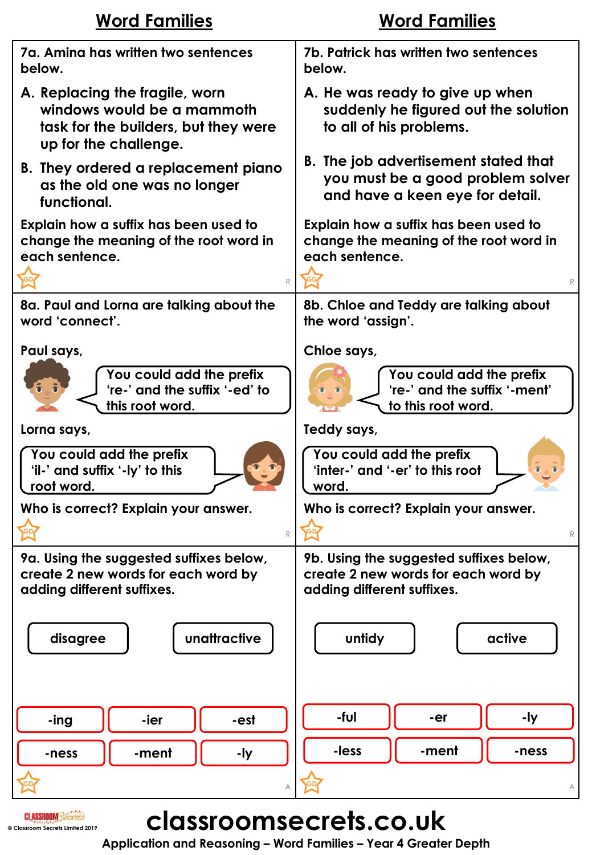| <b>Word Families</b>                                                                                                          | <b>Word Families</b>                                                                               |
|-------------------------------------------------------------------------------------------------------------------------------|----------------------------------------------------------------------------------------------------|
| 7a. Amina has written two sentences                                                                                           | 7b. Patrick has written two sentences                                                              |
| below.                                                                                                                        | below.                                                                                             |
| A. Replacing the fragile, worn<br>windows would be a mammoth<br>task for the builders, but they were<br>up for the challenge. | A. He was ready to give up when<br>suddenly he figured out the solution<br>to all of his problems. |
| B. They ordered a replacement piano                                                                                           | B. The job advertisement stated that                                                               |
| as the old one was no longer                                                                                                  | you must be a good problem solver                                                                  |
| functional.                                                                                                                   | and have a keen eye for detail.                                                                    |
| Explain how a suffix has been used to                                                                                         | Explain how a suffix has been used to                                                              |
| change the meaning of the root word in                                                                                        | change the meaning of the root word in                                                             |
| each sentence.                                                                                                                | each sentence.                                                                                     |
| R                                                                                                                             | R                                                                                                  |
| 8a. Paul and Lorna are talking about the                                                                                      | 8b. Chloe and Teddy are talking about                                                              |
| word 'connect'.                                                                                                               | the word 'assign'.                                                                                 |
| Paul says,                                                                                                                    | Chloe says,                                                                                        |
| You could add the prefix                                                                                                      | You could add the prefix                                                                           |
| 're-' and the suffix '-ed' to                                                                                                 | 're-' and the suffix '-ment'                                                                       |
| this root word.                                                                                                               | to this root word.                                                                                 |
| Lorna says,                                                                                                                   | Teddy says,                                                                                        |
| You could add the prefix                                                                                                      | You could add the prefix                                                                           |
| 'il-' and suffix '-ly' to this                                                                                                | 'inter-' and '-er' to this root                                                                    |
| root word.                                                                                                                    | word.                                                                                              |
| Who is correct? Explain your answer.                                                                                          | Who is correct? Explain your answer.                                                               |
| $\mathbb R$                                                                                                                   | $\mathbb R$                                                                                        |
| 9a. Using the suggested suffixes below,                                                                                       | 9b. Using the suggested suffixes below,                                                            |
| create 2 new words for each word by                                                                                           | create 2 new words for each word by                                                                |
| adding different suffixes.                                                                                                    | adding different suffixes.                                                                         |
| unattractive                                                                                                                  | untidy                                                                                             |
| disagree                                                                                                                      | active                                                                                             |
| -ier                                                                                                                          | -ful                                                                                               |
| -ing                                                                                                                          | -ly                                                                                                |
| -est                                                                                                                          | -er                                                                                                |
| -ment                                                                                                                         | -less                                                                                              |
| -ly                                                                                                                           | -ment                                                                                              |
| -ness                                                                                                                         | -ness                                                                                              |
|                                                                                                                               |                                                                                                    |

# **CLASSROOMSECTETS.CO.UK**

**Application and Reasoning – Word Families – Year 4 Greater Depth**